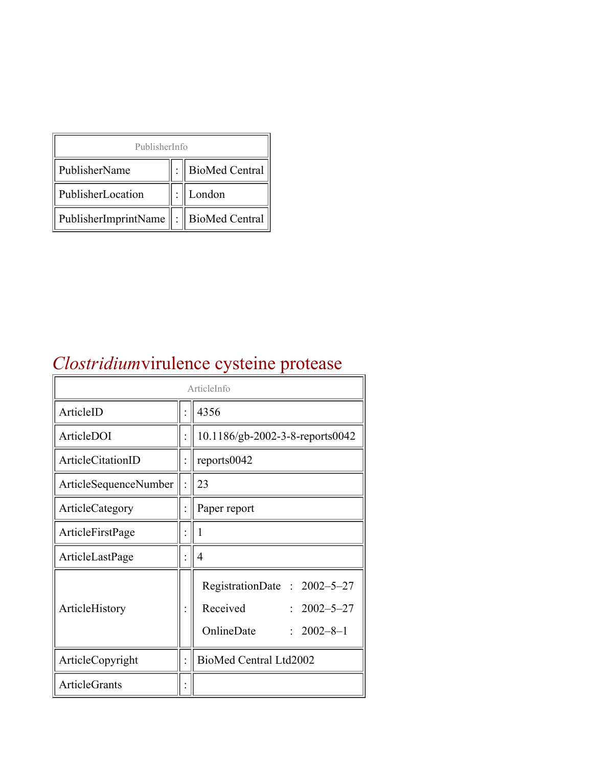| PublisherInfo                                   |  |                    |  |  |
|-------------------------------------------------|--|--------------------|--|--|
| PublisherName                                   |  | :   BioMed Central |  |  |
| PublisherLocation                               |  | London             |  |  |
| PublisherImprintName $\ \cdot\ $ BioMed Central |  |                    |  |  |

#### *Clostridium*virulence cysteine protease

| ArticleInfo           |  |                                                                                                |
|-----------------------|--|------------------------------------------------------------------------------------------------|
| ArticleID             |  | 4356                                                                                           |
| ArticleDOI            |  | 10.1186/gb-2002-3-8-reports0042                                                                |
| ArticleCitationID     |  | reports0042                                                                                    |
| ArticleSequenceNumber |  | 23                                                                                             |
| ArticleCategory       |  | Paper report                                                                                   |
| ArticleFirstPage      |  | I                                                                                              |
| ArticleLastPage       |  | 4                                                                                              |
| ArticleHistory        |  | RegistrationDate: 2002-5-27<br>Received<br>$: 2002 - 5 - 27$<br>OnlineDate<br>$: 2002 - 8 - 1$ |
| ArticleCopyright      |  | BioMed Central Ltd2002                                                                         |
| <b>ArticleGrants</b>  |  |                                                                                                |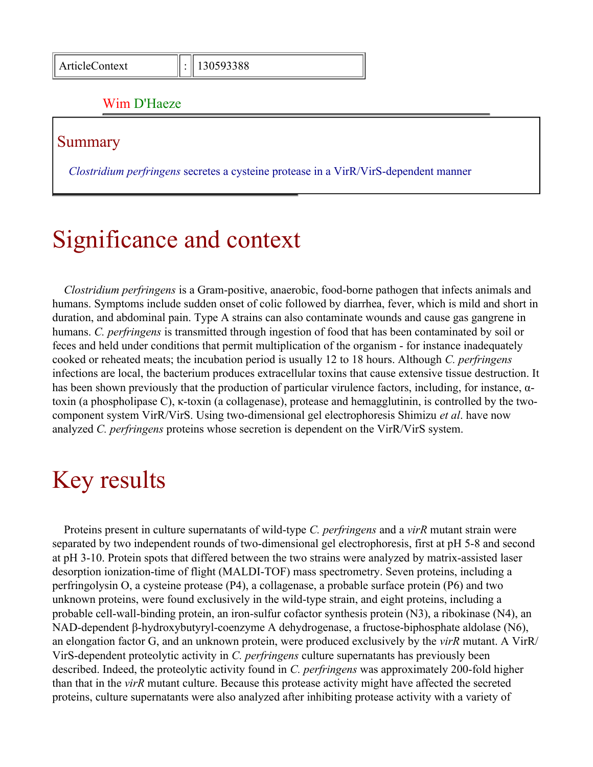#### Wim D'Haeze

#### Summary

*Clostridium perfringens* secretes a cysteine protease in a VirR/VirS-dependent manner

## Significance and context

*Clostridium perfringens* is a Gram-positive, anaerobic, food-borne pathogen that infects animals and humans. Symptoms include sudden onset of colic followed by diarrhea, fever, which is mild and short in duration, and abdominal pain. Type A strains can also contaminate wounds and cause gas gangrene in humans. *C. perfringens* is transmitted through ingestion of food that has been contaminated by soil or feces and held under conditions that permit multiplication of the organism - for instance inadequately cooked or reheated meats; the incubation period is usually 12 to 18 hours. Although *C. perfringens* infections are local, the bacterium produces extracellular toxins that cause extensive tissue destruction. It has been shown previously that the production of particular virulence factors, including, for instance, αtoxin (a phospholipase C), κ-toxin (a collagenase), protease and hemagglutinin, is controlled by the twocomponent system VirR/VirS. Using two-dimensional gel electrophoresis Shimizu *et al*. have now analyzed *C. perfringens* proteins whose secretion is dependent on the VirR/VirS system.

## Key results

Proteins present in culture supernatants of wild-type *C. perfringens* and a *virR* mutant strain were separated by two independent rounds of two-dimensional gel electrophoresis, first at pH 5-8 and second at pH 3-10. Protein spots that differed between the two strains were analyzed by matrix-assisted laser desorption ionization-time of flight (MALDI-TOF) mass spectrometry. Seven proteins, including a perfringolysin O, a cysteine protease (P4), a collagenase, a probable surface protein (P6) and two unknown proteins, were found exclusively in the wild-type strain, and eight proteins, including a probable cell-wall-binding protein, an iron-sulfur cofactor synthesis protein (N3), a ribokinase (N4), an NAD-dependent β-hydroxybutyryl-coenzyme A dehydrogenase, a fructose-biphosphate aldolase (N6), an elongation factor G, and an unknown protein, were produced exclusively by the *virR* mutant. A VirR/ VirS-dependent proteolytic activity in *C. perfringens* culture supernatants has previously been described. Indeed, the proteolytic activity found in *C. perfringens* was approximately 200-fold higher than that in the *virR* mutant culture. Because this protease activity might have affected the secreted proteins, culture supernatants were also analyzed after inhibiting protease activity with a variety of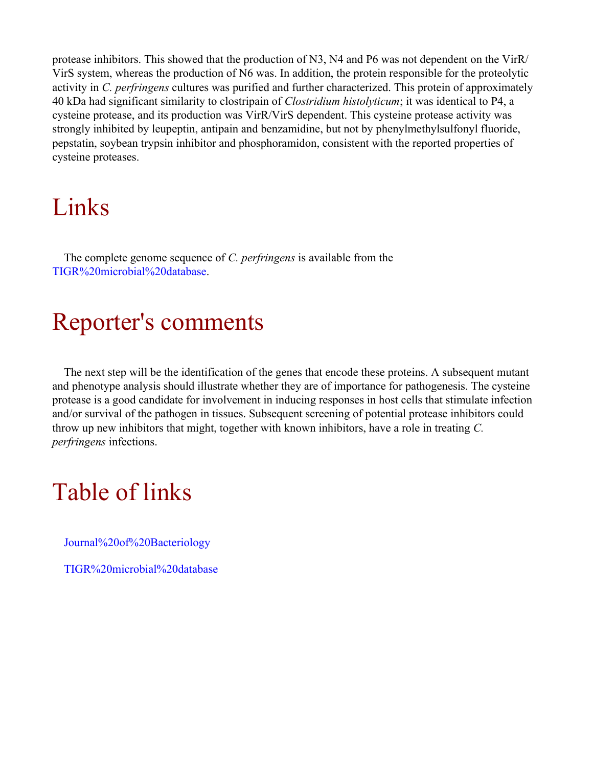protease inhibitors. This showed that the production of N3, N4 and P6 was not dependent on the VirR/ VirS system, whereas the production of N6 was. In addition, the protein responsible for the proteolytic activity in *C. perfringens* cultures was purified and further characterized. This protein of approximately 40 kDa had significant similarity to clostripain of *Clostridium histolyticum*; it was identical to P4, a cysteine protease, and its production was VirR/VirS dependent. This cysteine protease activity was strongly inhibited by leupeptin, antipain and benzamidine, but not by phenylmethylsulfonyl fluoride, pepstatin, soybean trypsin inhibitor and phosphoramidon, consistent with the reported properties of cysteine proteases.

### Links

The complete genome sequence of *C. perfringens* is available from the [TIGR%20microbial%20database](http://www.tigr.org/tdb/mdb/mdbcomplete.html).

### Reporter's comments

The next step will be the identification of the genes that encode these proteins. A subsequent mutant and phenotype analysis should illustrate whether they are of importance for pathogenesis. The cysteine protease is a good candidate for involvement in inducing responses in host cells that stimulate infection and/or survival of the pathogen in tissues. Subsequent screening of potential protease inhibitors could throw up new inhibitors that might, together with known inhibitors, have a role in treating *C. perfringens* infections.

# Table of links

[Journal%20of%20Bacteriology](http://jb.asm.org/)

[TIGR%20microbial%20database](http://www.tigr.org/tdb/mdb/mdbcomplete.html)